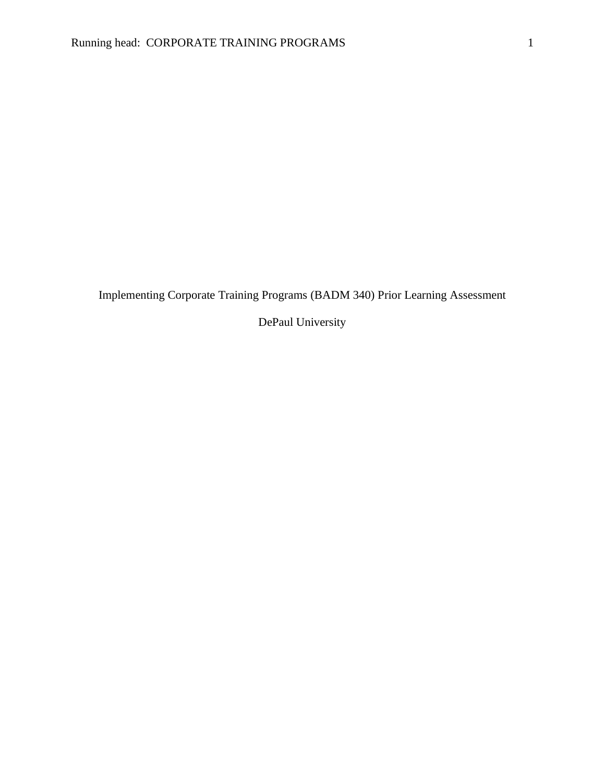Implementing Corporate Training Programs (BADM 340) Prior Learning Assessment

DePaul University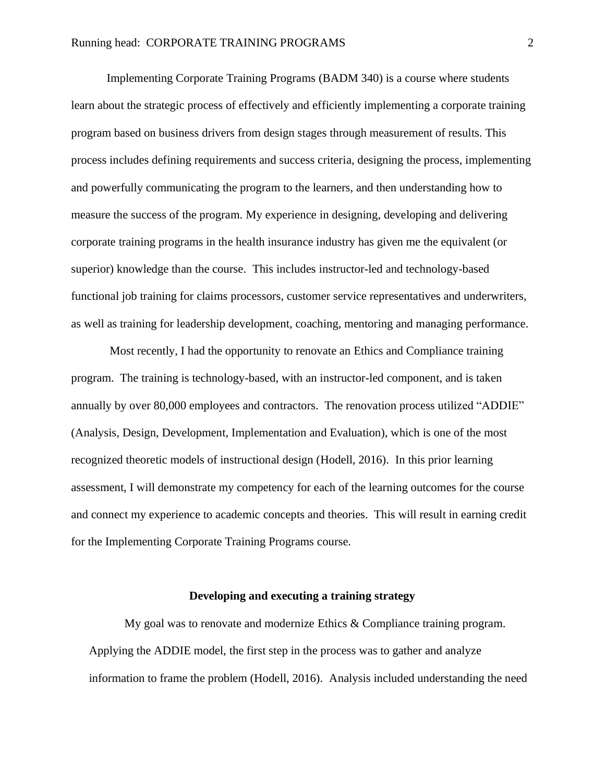Implementing Corporate Training Programs (BADM 340) is a course where students learn about the strategic process of effectively and efficiently implementing a corporate training program based on business drivers from design stages through measurement of results. This process includes defining requirements and success criteria, designing the process, implementing and powerfully communicating the program to the learners, and then understanding how to measure the success of the program. My experience in designing, developing and delivering corporate training programs in the health insurance industry has given me the equivalent (or superior) knowledge than the course. This includes instructor-led and technology-based functional job training for claims processors, customer service representatives and underwriters, as well as training for leadership development, coaching, mentoring and managing performance.

Most recently, I had the opportunity to renovate an Ethics and Compliance training program. The training is technology-based, with an instructor-led component, and is taken annually by over 80,000 employees and contractors. The renovation process utilized "ADDIE" (Analysis, Design, Development, Implementation and Evaluation), which is one of the most recognized theoretic models of instructional design (Hodell, 2016). In this prior learning assessment, I will demonstrate my competency for each of the learning outcomes for the course and connect my experience to academic concepts and theories. This will result in earning credit for the Implementing Corporate Training Programs course.

#### **Developing and executing a training strategy**

My goal was to renovate and modernize Ethics & Compliance training program. Applying the ADDIE model, the first step in the process was to gather and analyze information to frame the problem (Hodell, 2016). Analysis included understanding the need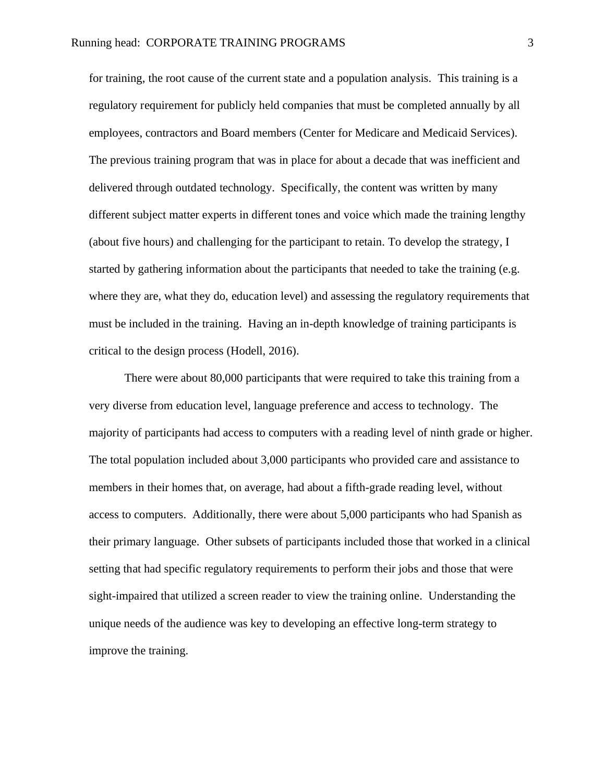for training, the root cause of the current state and a population analysis. This training is a regulatory requirement for publicly held companies that must be completed annually by all employees, contractors and Board members (Center for Medicare and Medicaid Services). The previous training program that was in place for about a decade that was inefficient and delivered through outdated technology. Specifically, the content was written by many different subject matter experts in different tones and voice which made the training lengthy (about five hours) and challenging for the participant to retain. To develop the strategy, I started by gathering information about the participants that needed to take the training (e.g. where they are, what they do, education level) and assessing the regulatory requirements that must be included in the training. Having an in-depth knowledge of training participants is critical to the design process (Hodell, 2016).

There were about 80,000 participants that were required to take this training from a very diverse from education level, language preference and access to technology. The majority of participants had access to computers with a reading level of ninth grade or higher. The total population included about 3,000 participants who provided care and assistance to members in their homes that, on average, had about a fifth-grade reading level, without access to computers. Additionally, there were about 5,000 participants who had Spanish as their primary language. Other subsets of participants included those that worked in a clinical setting that had specific regulatory requirements to perform their jobs and those that were sight-impaired that utilized a screen reader to view the training online. Understanding the unique needs of the audience was key to developing an effective long-term strategy to improve the training.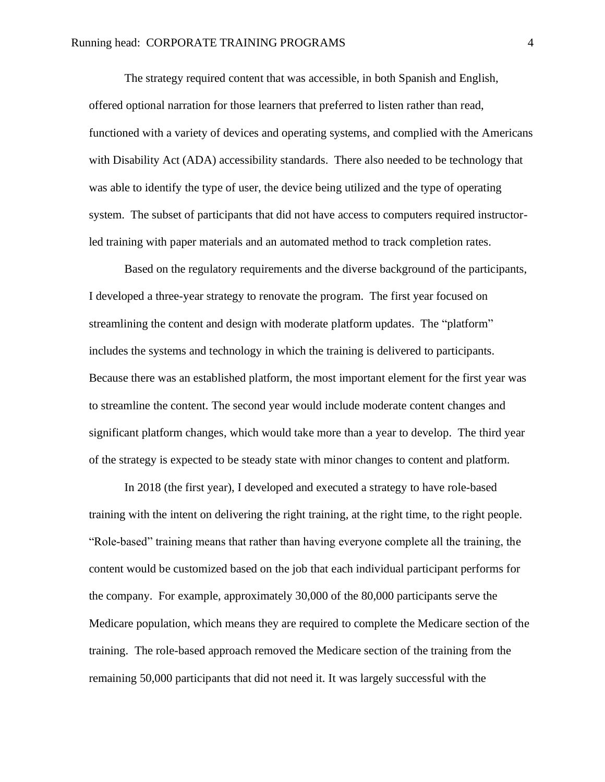The strategy required content that was accessible, in both Spanish and English, offered optional narration for those learners that preferred to listen rather than read, functioned with a variety of devices and operating systems, and complied with the Americans with Disability Act (ADA) accessibility standards. There also needed to be technology that was able to identify the type of user, the device being utilized and the type of operating system. The subset of participants that did not have access to computers required instructorled training with paper materials and an automated method to track completion rates.

Based on the regulatory requirements and the diverse background of the participants, I developed a three-year strategy to renovate the program. The first year focused on streamlining the content and design with moderate platform updates. The "platform" includes the systems and technology in which the training is delivered to participants. Because there was an established platform, the most important element for the first year was to streamline the content. The second year would include moderate content changes and significant platform changes, which would take more than a year to develop. The third year of the strategy is expected to be steady state with minor changes to content and platform.

In 2018 (the first year), I developed and executed a strategy to have role-based training with the intent on delivering the right training, at the right time, to the right people. "Role-based" training means that rather than having everyone complete all the training, the content would be customized based on the job that each individual participant performs for the company. For example, approximately 30,000 of the 80,000 participants serve the Medicare population, which means they are required to complete the Medicare section of the training. The role-based approach removed the Medicare section of the training from the remaining 50,000 participants that did not need it. It was largely successful with the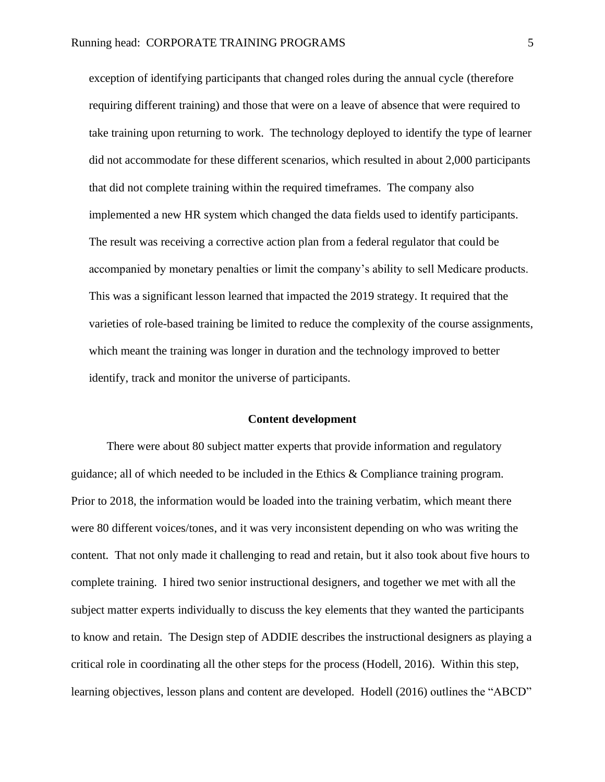exception of identifying participants that changed roles during the annual cycle (therefore requiring different training) and those that were on a leave of absence that were required to take training upon returning to work. The technology deployed to identify the type of learner did not accommodate for these different scenarios, which resulted in about 2,000 participants that did not complete training within the required timeframes. The company also implemented a new HR system which changed the data fields used to identify participants. The result was receiving a corrective action plan from a federal regulator that could be accompanied by monetary penalties or limit the company's ability to sell Medicare products. This was a significant lesson learned that impacted the 2019 strategy. It required that the varieties of role-based training be limited to reduce the complexity of the course assignments, which meant the training was longer in duration and the technology improved to better identify, track and monitor the universe of participants.

#### **Content development**

There were about 80 subject matter experts that provide information and regulatory guidance; all of which needed to be included in the Ethics & Compliance training program. Prior to 2018, the information would be loaded into the training verbatim, which meant there were 80 different voices/tones, and it was very inconsistent depending on who was writing the content. That not only made it challenging to read and retain, but it also took about five hours to complete training. I hired two senior instructional designers, and together we met with all the subject matter experts individually to discuss the key elements that they wanted the participants to know and retain. The Design step of ADDIE describes the instructional designers as playing a critical role in coordinating all the other steps for the process (Hodell, 2016). Within this step, learning objectives, lesson plans and content are developed. Hodell (2016) outlines the "ABCD"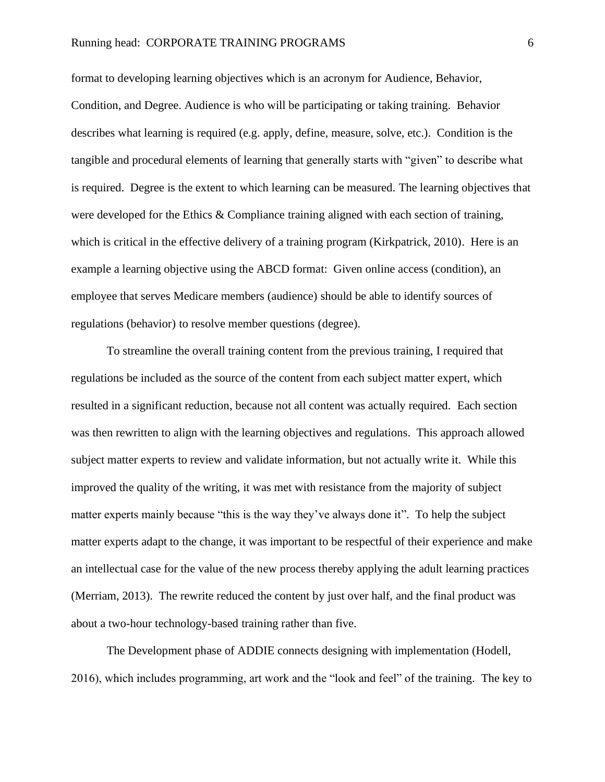## Running head: CORPORATE TRAINING PROGRAMS 6

format to developing learning objectives which is an acronym for Audience, Behavior, Condition, and Degree. Audience is who will be participating or taking training. Behavior describes what learning is required (e.g. apply, define, measure, solve, etc.). Condition is the tangible and procedural elements of learning that generally starts with "given" to describe what is required. Degree is the extent to which learning can be measured. The learning objectives that were developed for the Ethics & Compliance training aligned with each section of training, which is critical in the effective delivery of a training program (Kirkpatrick, 2010). Here is an example a learning objective using the ABCD format: Given online access (condition), an employee that serves Medicare members (audience) should be able to identify sources of regulations (behavior) to resolve member questions (degree).

To streamline the overall training content from the previous training, I required that regulations be included as the source of the content from each subject matter expert, which resulted in a significant reduction, because not all content was actually required. Each section was then rewritten to align with the learning objectives and regulations. This approach allowed subject matter experts to review and validate information, but not actually write it. While this improved the quality of the writing, it was met with resistance from the majority of subject matter experts mainly because "this is the way they've always done it". To help the subject matter experts adapt to the change, it was important to be respectful of their experience and make an intellectual case for the value of the new process thereby applying the adult learning practices (Merriam, 2013). The rewrite reduced the content by just over half, and the final product was about a two-hour technology-based training rather than five.

The Development phase of ADDIE connects designing with implementation (Hodell, 2016), which includes programming, art work and the "look and feel" of the training. The key to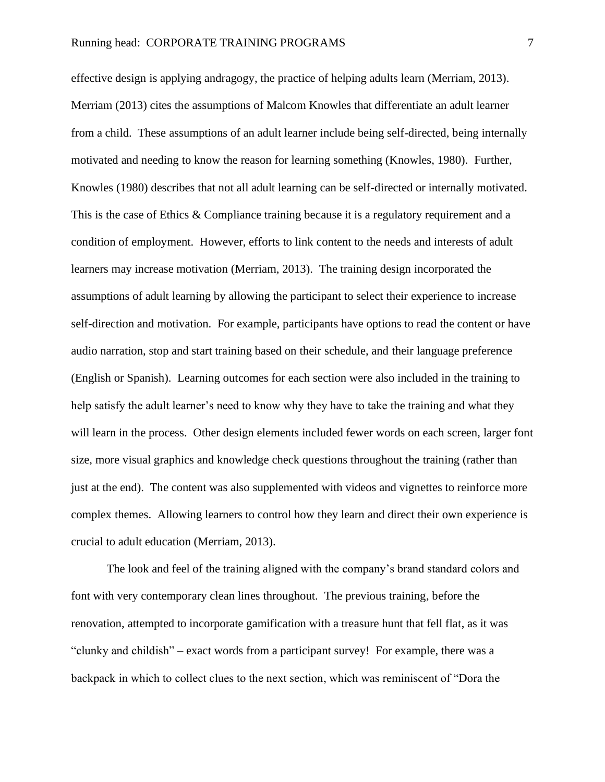effective design is applying andragogy, the practice of helping adults learn (Merriam, 2013). Merriam (2013) cites the assumptions of Malcom Knowles that differentiate an adult learner from a child. These assumptions of an adult learner include being self-directed, being internally motivated and needing to know the reason for learning something (Knowles, 1980). Further, Knowles (1980) describes that not all adult learning can be self-directed or internally motivated. This is the case of Ethics & Compliance training because it is a regulatory requirement and a condition of employment. However, efforts to link content to the needs and interests of adult learners may increase motivation (Merriam, 2013). The training design incorporated the assumptions of adult learning by allowing the participant to select their experience to increase self-direction and motivation. For example, participants have options to read the content or have audio narration, stop and start training based on their schedule, and their language preference (English or Spanish). Learning outcomes for each section were also included in the training to help satisfy the adult learner's need to know why they have to take the training and what they will learn in the process. Other design elements included fewer words on each screen, larger font size, more visual graphics and knowledge check questions throughout the training (rather than just at the end). The content was also supplemented with videos and vignettes to reinforce more complex themes. Allowing learners to control how they learn and direct their own experience is crucial to adult education (Merriam, 2013).

The look and feel of the training aligned with the company's brand standard colors and font with very contemporary clean lines throughout. The previous training, before the renovation, attempted to incorporate gamification with a treasure hunt that fell flat, as it was "clunky and childish" – exact words from a participant survey! For example, there was a backpack in which to collect clues to the next section, which was reminiscent of "Dora the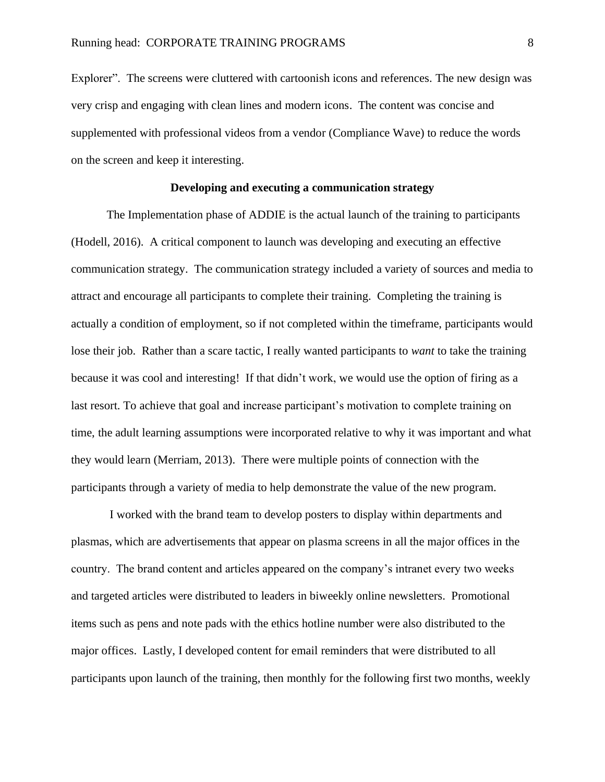Explorer". The screens were cluttered with cartoonish icons and references. The new design was very crisp and engaging with clean lines and modern icons. The content was concise and supplemented with professional videos from a vendor (Compliance Wave) to reduce the words on the screen and keep it interesting.

## **Developing and executing a communication strategy**

The Implementation phase of ADDIE is the actual launch of the training to participants (Hodell, 2016). A critical component to launch was developing and executing an effective communication strategy. The communication strategy included a variety of sources and media to attract and encourage all participants to complete their training. Completing the training is actually a condition of employment, so if not completed within the timeframe, participants would lose their job. Rather than a scare tactic, I really wanted participants to *want* to take the training because it was cool and interesting! If that didn't work, we would use the option of firing as a last resort. To achieve that goal and increase participant's motivation to complete training on time, the adult learning assumptions were incorporated relative to why it was important and what they would learn (Merriam, 2013). There were multiple points of connection with the participants through a variety of media to help demonstrate the value of the new program.

I worked with the brand team to develop posters to display within departments and plasmas, which are advertisements that appear on plasma screens in all the major offices in the country. The brand content and articles appeared on the company's intranet every two weeks and targeted articles were distributed to leaders in biweekly online newsletters. Promotional items such as pens and note pads with the ethics hotline number were also distributed to the major offices. Lastly, I developed content for email reminders that were distributed to all participants upon launch of the training, then monthly for the following first two months, weekly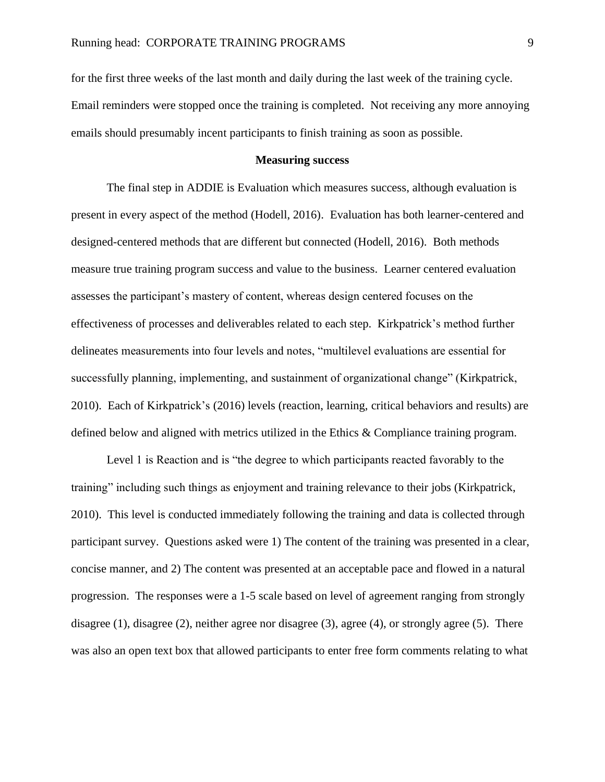for the first three weeks of the last month and daily during the last week of the training cycle. Email reminders were stopped once the training is completed. Not receiving any more annoying emails should presumably incent participants to finish training as soon as possible.

# **Measuring success**

The final step in ADDIE is Evaluation which measures success, although evaluation is present in every aspect of the method (Hodell, 2016). Evaluation has both learner-centered and designed-centered methods that are different but connected (Hodell, 2016). Both methods measure true training program success and value to the business. Learner centered evaluation assesses the participant's mastery of content, whereas design centered focuses on the effectiveness of processes and deliverables related to each step. Kirkpatrick's method further delineates measurements into four levels and notes, "multilevel evaluations are essential for successfully planning, implementing, and sustainment of organizational change" (Kirkpatrick, 2010). Each of Kirkpatrick's (2016) levels (reaction, learning, critical behaviors and results) are defined below and aligned with metrics utilized in the Ethics & Compliance training program.

Level 1 is Reaction and is "the degree to which participants reacted favorably to the training" including such things as enjoyment and training relevance to their jobs (Kirkpatrick, 2010). This level is conducted immediately following the training and data is collected through participant survey. Questions asked were 1) The content of the training was presented in a clear, concise manner, and 2) The content was presented at an acceptable pace and flowed in a natural progression. The responses were a 1-5 scale based on level of agreement ranging from strongly disagree (1), disagree (2), neither agree nor disagree (3), agree (4), or strongly agree (5). There was also an open text box that allowed participants to enter free form comments relating to what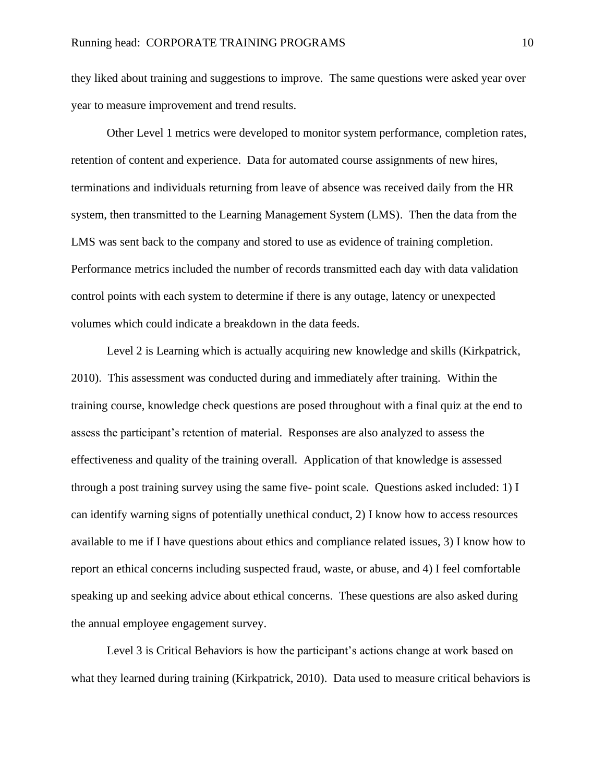they liked about training and suggestions to improve. The same questions were asked year over year to measure improvement and trend results.

Other Level 1 metrics were developed to monitor system performance, completion rates, retention of content and experience. Data for automated course assignments of new hires, terminations and individuals returning from leave of absence was received daily from the HR system, then transmitted to the Learning Management System (LMS). Then the data from the LMS was sent back to the company and stored to use as evidence of training completion. Performance metrics included the number of records transmitted each day with data validation control points with each system to determine if there is any outage, latency or unexpected volumes which could indicate a breakdown in the data feeds.

Level 2 is Learning which is actually acquiring new knowledge and skills (Kirkpatrick, 2010). This assessment was conducted during and immediately after training. Within the training course, knowledge check questions are posed throughout with a final quiz at the end to assess the participant's retention of material. Responses are also analyzed to assess the effectiveness and quality of the training overall. Application of that knowledge is assessed through a post training survey using the same five- point scale. Questions asked included: 1) I can identify warning signs of potentially unethical conduct, 2) I know how to access resources available to me if I have questions about ethics and compliance related issues, 3) I know how to report an ethical concerns including suspected fraud, waste, or abuse, and 4) I feel comfortable speaking up and seeking advice about ethical concerns. These questions are also asked during the annual employee engagement survey.

Level 3 is Critical Behaviors is how the participant's actions change at work based on what they learned during training (Kirkpatrick, 2010). Data used to measure critical behaviors is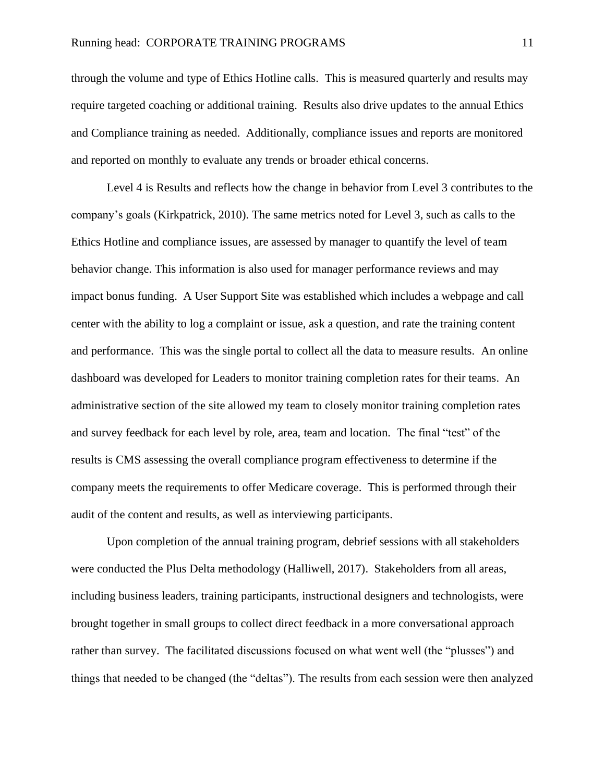through the volume and type of Ethics Hotline calls. This is measured quarterly and results may require targeted coaching or additional training. Results also drive updates to the annual Ethics and Compliance training as needed. Additionally, compliance issues and reports are monitored and reported on monthly to evaluate any trends or broader ethical concerns.

Level 4 is Results and reflects how the change in behavior from Level 3 contributes to the company's goals (Kirkpatrick, 2010). The same metrics noted for Level 3, such as calls to the Ethics Hotline and compliance issues, are assessed by manager to quantify the level of team behavior change. This information is also used for manager performance reviews and may impact bonus funding. A User Support Site was established which includes a webpage and call center with the ability to log a complaint or issue, ask a question, and rate the training content and performance. This was the single portal to collect all the data to measure results. An online dashboard was developed for Leaders to monitor training completion rates for their teams. An administrative section of the site allowed my team to closely monitor training completion rates and survey feedback for each level by role, area, team and location. The final "test" of the results is CMS assessing the overall compliance program effectiveness to determine if the company meets the requirements to offer Medicare coverage. This is performed through their audit of the content and results, as well as interviewing participants.

Upon completion of the annual training program, debrief sessions with all stakeholders were conducted the Plus Delta methodology (Halliwell, 2017). Stakeholders from all areas, including business leaders, training participants, instructional designers and technologists, were brought together in small groups to collect direct feedback in a more conversational approach rather than survey. The facilitated discussions focused on what went well (the "plusses") and things that needed to be changed (the "deltas"). The results from each session were then analyzed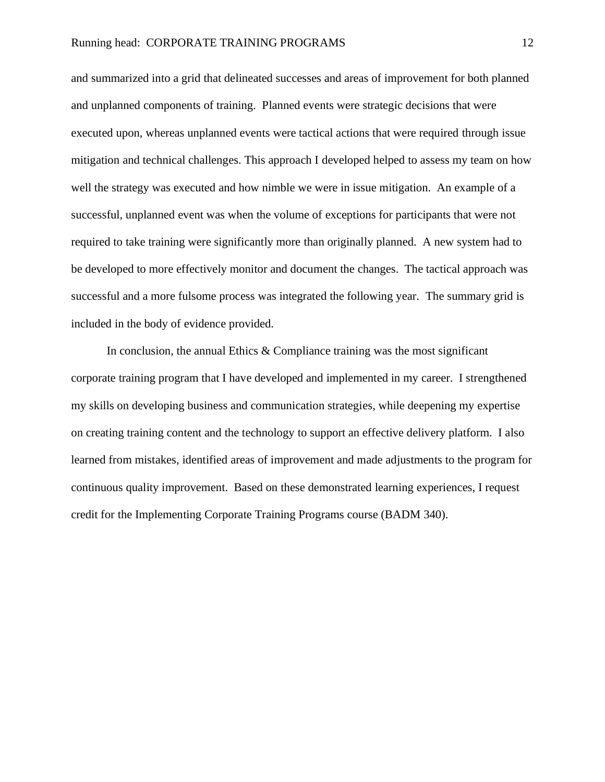and summarized into a grid that delineated successes and areas of improvement for both planned and unplanned components of training. Planned events were strategic decisions that were executed upon, whereas unplanned events were tactical actions that were required through issue mitigation and technical challenges. This approach I developed helped to assess my team on how well the strategy was executed and how nimble we were in issue mitigation. An example of a successful, unplanned event was when the volume of exceptions for participants that were not required to take training were significantly more than originally planned. A new system had to be developed to more effectively monitor and document the changes. The tactical approach was successful and a more fulsome process was integrated the following year. The summary grid is included in the body of evidence provided.

In conclusion, the annual Ethics  $&$  Compliance training was the most significant corporate training program that I have developed and implemented in my career. I strengthened my skills on developing business and communication strategies, while deepening my expertise on creating training content and the technology to support an effective delivery platform. I also learned from mistakes, identified areas of improvement and made adjustments to the program for continuous quality improvement. Based on these demonstrated learning experiences, I request credit for the Implementing Corporate Training Programs course (BADM 340).